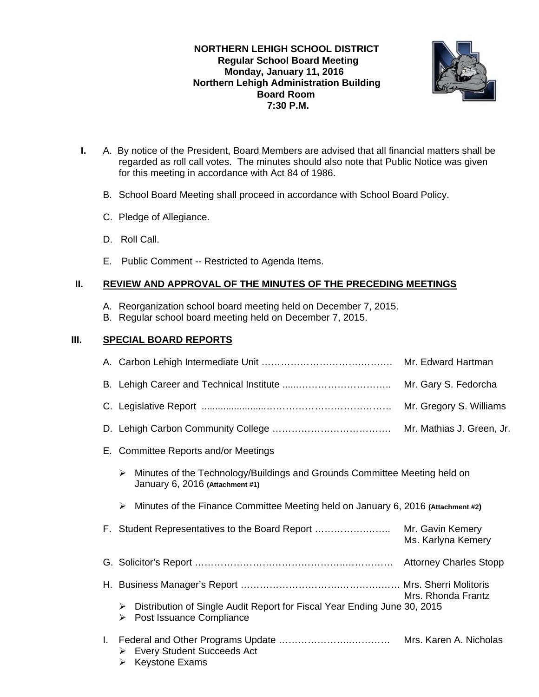**NORTHERN LEHIGH SCHOOL DISTRICT Regular School Board Meeting Monday, January 11, 2016 Northern Lehigh Administration Building Board Room 7:30 P.M.** 



- **I.** A. By notice of the President, Board Members are advised that all financial matters shall be regarded as roll call votes. The minutes should also note that Public Notice was given for this meeting in accordance with Act 84 of 1986.
	- B. School Board Meeting shall proceed in accordance with School Board Policy.
	- C. Pledge of Allegiance.
	- D. Roll Call.
	- E. Public Comment -- Restricted to Agenda Items.

# **II. REVIEW AND APPROVAL OF THE MINUTES OF THE PRECEDING MEETINGS**

- A. Reorganization school board meeting held on December 7, 2015.
- B. Regular school board meeting held on December 7, 2015.

# **III. SPECIAL BOARD REPORTS**

|    |                                          |                                                                                                              | Mr. Gary S. Fedorcha    |  |
|----|------------------------------------------|--------------------------------------------------------------------------------------------------------------|-------------------------|--|
|    |                                          |                                                                                                              | Mr. Gregory S. Williams |  |
|    |                                          | Mr. Mathias J. Green, Jr.                                                                                    |                         |  |
| Е. | <b>Committee Reports and/or Meetings</b> |                                                                                                              |                         |  |
|    | ≻                                        | Minutes of the Technology/Buildings and Grounds Committee Meeting held on<br>January 6, 2016 (Attachment #1) |                         |  |
|    | ➤                                        | Minutes of the Finance Committee Meeting held on January 6, 2016 (Attachment #2)                             |                         |  |
|    |                                          |                                                                                                              | Ms. Karlyna Kemery      |  |
|    |                                          |                                                                                                              |                         |  |
|    |                                          |                                                                                                              |                         |  |
|    | ➤<br>➤                                   | Distribution of Single Audit Report for Fiscal Year Ending June 30, 2015<br>Post Issuance Compliance         | Mrs. Rhonda Frantz      |  |
|    | ➤                                        | > Every Student Succeeds Act<br><b>Keystone Exams</b>                                                        | Mrs. Karen A. Nicholas  |  |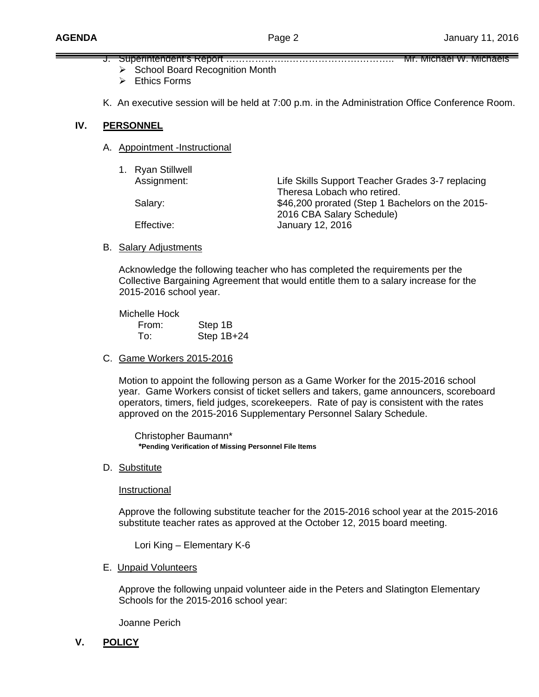- J. Superintendent's Report ……………………………………………………………… Mr. Michael W. Michaels
	- $\triangleright$  School Board Recognition Month
	- $\triangleright$  Ethics Forms
- K. An executive session will be held at 7:00 p.m. in the Administration Office Conference Room.

### **IV. PERSONNEL**

A. Appointment -Instructional

| 1. Ryan Stillwell<br>Assignment: | Life Skills Support Teacher Grades 3-7 replacing<br>Theresa Lobach who retired. |
|----------------------------------|---------------------------------------------------------------------------------|
| Salary:                          | \$46,200 prorated (Step 1 Bachelors on the 2015-<br>2016 CBA Salary Schedule)   |
| Effective:                       | January 12, 2016                                                                |

B. Salary Adjustments

 Acknowledge the following teacher who has completed the requirements per the Collective Bargaining Agreement that would entitle them to a salary increase for the 2015-2016 school year.

 Michelle Hock From: Step 1B To: Step 1B+24

C. Game Workers 2015-2016

Motion to appoint the following person as a Game Worker for the 2015-2016 school year. Game Workers consist of ticket sellers and takers, game announcers, scoreboard operators, timers, field judges, scorekeepers. Rate of pay is consistent with the rates approved on the 2015-2016 Supplementary Personnel Salary Schedule.

 Christopher Baumann\*  **\*Pending Verification of Missing Personnel File Items** 

D. Substitute

Instructional

Approve the following substitute teacher for the 2015-2016 school year at the 2015-2016 substitute teacher rates as approved at the October 12, 2015 board meeting.

Lori King – Elementary K-6

### E. Unpaid Volunteers

Approve the following unpaid volunteer aide in the Peters and Slatington Elementary Schools for the 2015-2016 school year:

Joanne Perich

**V. POLICY**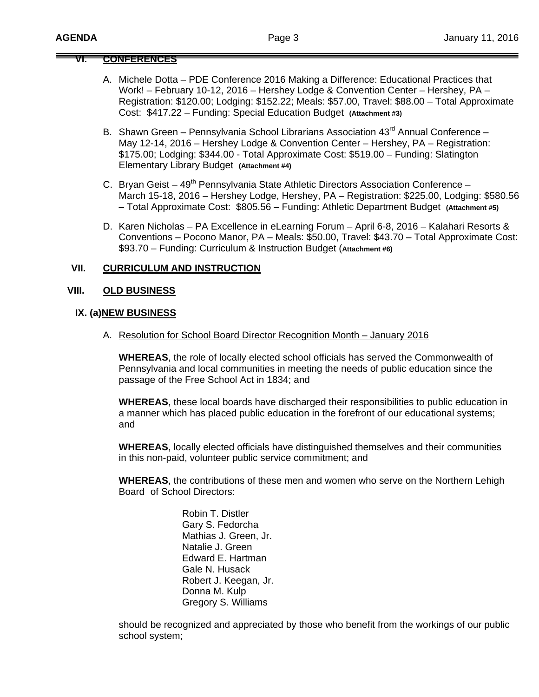# **VI. CONFERENCES**

- A. Michele Dotta PDE Conference 2016 Making a Difference: Educational Practices that Work! – February 10-12, 2016 – Hershey Lodge & Convention Center – Hershey, PA – Registration: \$120.00; Lodging: \$152.22; Meals: \$57.00, Travel: \$88.00 – Total Approximate Cost: \$417.22 – Funding: Special Education Budget **(Attachment #3)**
- B. Shawn Green Pennsylvania School Librarians Association 43<sup>rd</sup> Annual Conference May 12-14, 2016 – Hershey Lodge & Convention Center – Hershey, PA – Registration: \$175.00; Lodging: \$344.00 - Total Approximate Cost: \$519.00 – Funding: Slatington Elementary Library Budget **(Attachment #4)**
- C. Bryan Geist  $49<sup>th</sup>$  Pennsylvania State Athletic Directors Association Conference March 15-18, 2016 – Hershey Lodge, Hershey, PA – Registration: \$225.00, Lodging: \$580.56 – Total Approximate Cost: \$805.56 – Funding: Athletic Department Budget **(Attachment #5)**
- D. Karen Nicholas PA Excellence in eLearning Forum April 6-8, 2016 Kalahari Resorts & Conventions – Pocono Manor, PA – Meals: \$50.00, Travel: \$43.70 – Total Approximate Cost: \$93.70 – Funding: Curriculum & Instruction Budget (**Attachment #6)**

### **VII. CURRICULUM AND INSTRUCTION**

### **VIII. OLD BUSINESS**

#### **IX. (a)NEW BUSINESS**

A. Resolution for School Board Director Recognition Month – January 2016

**WHEREAS**, the role of locally elected school officials has served the Commonwealth of Pennsylvania and local communities in meeting the needs of public education since the passage of the Free School Act in 1834; and

**WHEREAS**, these local boards have discharged their responsibilities to public education in a manner which has placed public education in the forefront of our educational systems; and

**WHEREAS**, locally elected officials have distinguished themselves and their communities in this non-paid, volunteer public service commitment; and

**WHEREAS**, the contributions of these men and women who serve on the Northern Lehigh Board of School Directors:

> Robin T. Distler Gary S. Fedorcha Mathias J. Green, Jr. Natalie J. Green Edward E. Hartman Gale N. Husack Robert J. Keegan, Jr. Donna M. Kulp Gregory S. Williams

should be recognized and appreciated by those who benefit from the workings of our public school system;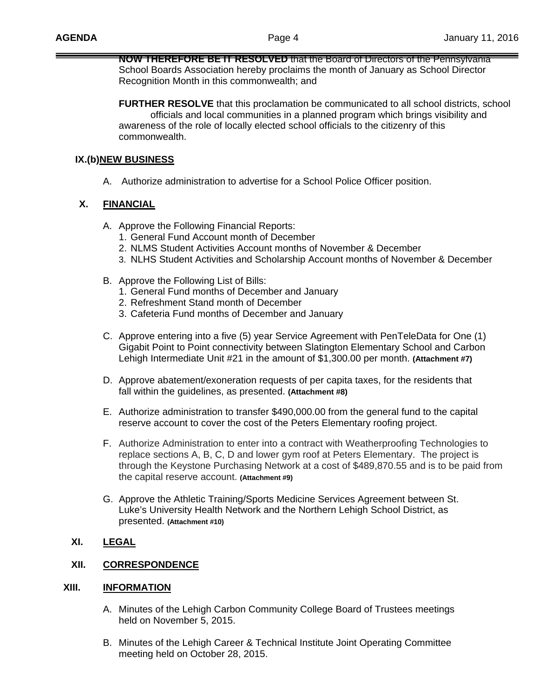**NOW THEREFORE BE IT RESOLVED** that the Board of Directors of the Pennsylvania School Boards Association hereby proclaims the month of January as School Director Recognition Month in this commonwealth; and

**FURTHER RESOLVE** that this proclamation be communicated to all school districts, school officials and local communities in a planned program which brings visibility and awareness of the role of locally elected school officials to the citizenry of this commonwealth.

### **IX. (b)NEW BUSINESS**

A. Authorize administration to advertise for a School Police Officer position.

## **X. FINANCIAL**

- A. Approve the Following Financial Reports:
	- 1. General Fund Account month of December
	- 2. NLMS Student Activities Account months of November & December
	- 3. NLHS Student Activities and Scholarship Account months of November & December
- B. Approve the Following List of Bills:
	- 1. General Fund months of December and January
	- 2. Refreshment Stand month of December
	- 3. Cafeteria Fund months of December and January
- C. Approve entering into a five (5) year Service Agreement with PenTeleData for One (1) Gigabit Point to Point connectivity between Slatington Elementary School and Carbon Lehigh Intermediate Unit #21 in the amount of \$1,300.00 per month. **(Attachment #7)**
- D. Approve abatement/exoneration requests of per capita taxes, for the residents that fall within the guidelines, as presented. **(Attachment #8)**
- E. Authorize administration to transfer \$490,000.00 from the general fund to the capital reserve account to cover the cost of the Peters Elementary roofing project.
- F. Authorize Administration to enter into a contract with Weatherproofing Technologies to replace sections A, B, C, D and lower gym roof at Peters Elementary. The project is through the Keystone Purchasing Network at a cost of \$489,870.55 and is to be paid from the capital reserve account. **(Attachment #9)**
- G. Approve the Athletic Training/Sports Medicine Services Agreement between St. Luke's University Health Network and the Northern Lehigh School District, as presented. **(Attachment #10)**

# **XI. LEGAL**

## **XII. CORRESPONDENCE**

### **XIII. INFORMATION**

- A. Minutes of the Lehigh Carbon Community College Board of Trustees meetings held on November 5, 2015.
- B. Minutes of the Lehigh Career & Technical Institute Joint Operating Committee meeting held on October 28, 2015.